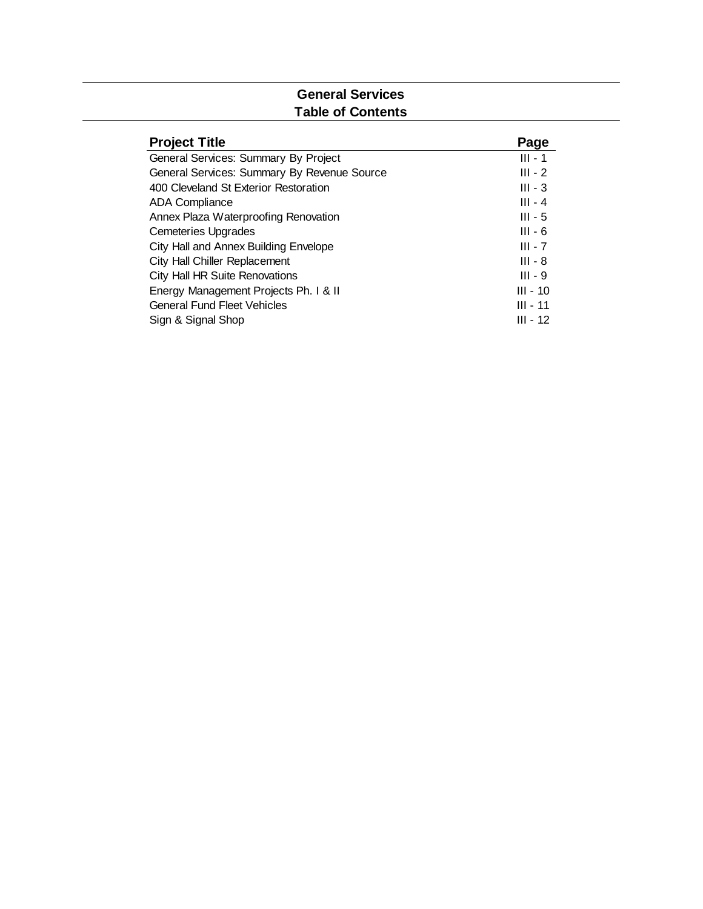#### **General Services Table of Contents**

| <b>Project Title</b>                        | Page       |
|---------------------------------------------|------------|
| General Services: Summary By Project        | $III - 1$  |
| General Services: Summary By Revenue Source | $III - 2$  |
| 400 Cleveland St Exterior Restoration       | $III - 3$  |
| ADA Compliance                              | $III - 4$  |
| Annex Plaza Waterproofing Renovation        | $III - 5$  |
| <b>Cemeteries Upgrades</b>                  | $III - 6$  |
| City Hall and Annex Building Envelope       | $III - 7$  |
| City Hall Chiller Replacement               | $III - 8$  |
| City Hall HR Suite Renovations              | $III - 9$  |
| Energy Management Projects Ph. I & II       | $III - 10$ |
| <b>General Fund Fleet Vehicles</b>          | $III - 11$ |
| Sign & Signal Shop                          | $III - 12$ |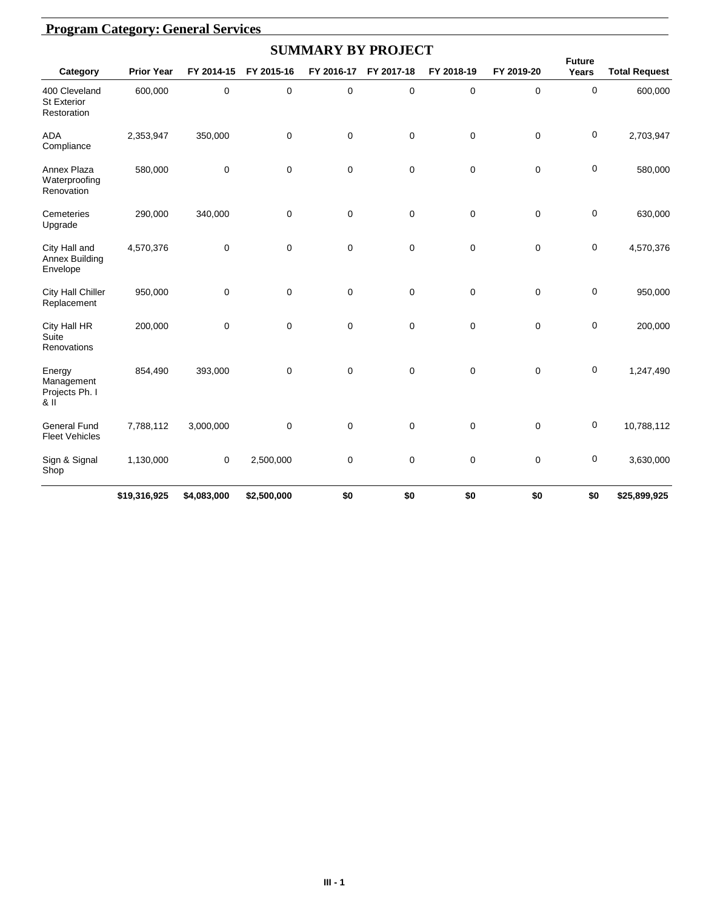|                                                    |                   |             |             | <b>SUMMARY BY PROJECT</b> |             |             |                  |                        |                      |
|----------------------------------------------------|-------------------|-------------|-------------|---------------------------|-------------|-------------|------------------|------------------------|----------------------|
| Category                                           | <b>Prior Year</b> | FY 2014-15  | FY 2015-16  | FY 2016-17                | FY 2017-18  | FY 2018-19  | FY 2019-20       | <b>Future</b><br>Years | <b>Total Request</b> |
| 400 Cleveland<br><b>St Exterior</b><br>Restoration | 600,000           | 0           | 0           | $\mathbf 0$               | $\mathbf 0$ | $\pmb{0}$   | $\mathbf 0$      | 0                      | 600,000              |
| <b>ADA</b><br>Compliance                           | 2,353,947         | 350,000     | $\mathbf 0$ | $\mathbf 0$               | $\mathbf 0$ | $\mathbf 0$ | $\mathbf 0$      | 0                      | 2,703,947            |
| Annex Plaza<br>Waterproofing<br>Renovation         | 580,000           | 0           | $\mathbf 0$ | $\mathbf 0$               | $\mathbf 0$ | $\mathbf 0$ | $\mathbf 0$      | 0                      | 580,000              |
| Cemeteries<br>Upgrade                              | 290,000           | 340,000     | $\mathbf 0$ | $\mathbf 0$               | $\mathbf 0$ | $\pmb{0}$   | $\mathbf 0$      | 0                      | 630,000              |
| City Hall and<br><b>Annex Building</b><br>Envelope | 4,570,376         | $\mathbf 0$ | $\mathbf 0$ | $\mathbf 0$               | $\mathbf 0$ | $\mathbf 0$ | $\mathbf 0$      | 0                      | 4,570,376            |
| <b>City Hall Chiller</b><br>Replacement            | 950,000           | 0           | $\mathbf 0$ | 0                         | 0           | 0           | $\mathbf 0$      | 0                      | 950,000              |
| City Hall HR<br>Suite<br>Renovations               | 200,000           | 0           | $\mathbf 0$ | $\mathbf 0$               | $\mathbf 0$ | $\mathbf 0$ | $\mathbf 0$      | 0                      | 200,000              |
| Energy<br>Management<br>Projects Ph. I<br>& II     | 854,490           | 393,000     | $\mathbf 0$ | 0                         | $\mathbf 0$ | $\mathbf 0$ | $\mathbf 0$      | 0                      | 1,247,490            |
| <b>General Fund</b><br><b>Fleet Vehicles</b>       | 7,788,112         | 3,000,000   | $\mathbf 0$ | $\mathbf 0$               | $\mathbf 0$ | $\pmb{0}$   | $\mathbf 0$      | 0                      | 10,788,112           |
| Sign & Signal<br>Shop                              | 1,130,000         | 0           | 2,500,000   | $\pmb{0}$                 | $\mathbf 0$ | $\mathbf 0$ | $\boldsymbol{0}$ | 0                      | 3,630,000            |
|                                                    | \$19,316,925      | \$4,083,000 | \$2,500,000 | \$0                       | \$0         | \$0         | \$0              | \$0                    | \$25,899,925         |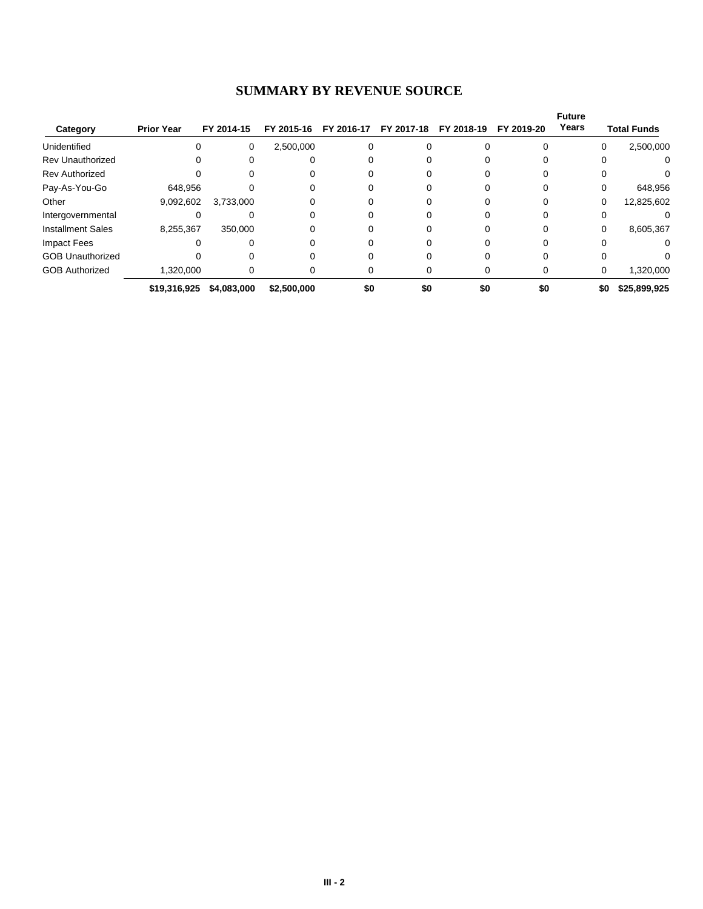#### **SUMMARY BY REVENUE SOURCE**

|                          |                   |             |             |            |            |            |            | <b>Future</b> |                     |
|--------------------------|-------------------|-------------|-------------|------------|------------|------------|------------|---------------|---------------------|
| Category                 | <b>Prior Year</b> | FY 2014-15  | FY 2015-16  | FY 2016-17 | FY 2017-18 | FY 2018-19 | FY 2019-20 | Years         | <b>Total Funds</b>  |
| Unidentified             |                   | 0           | 2,500,000   |            |            |            |            | 0             | 2,500,000           |
| <b>Rev Unauthorized</b>  |                   |             |             |            |            |            |            | 0             | 0                   |
| <b>Rev Authorized</b>    |                   |             |             |            |            |            |            |               |                     |
| Pay-As-You-Go            | 648.956           |             |             |            |            |            |            | 0             | 648,956             |
| Other                    | 9,092,602         | 3,733,000   |             |            |            |            |            | 0             | 12,825,602          |
| Intergovernmental        |                   |             |             |            |            |            |            |               |                     |
| <b>Installment Sales</b> | 8,255,367         | 350,000     |             |            |            |            |            | 0             | 8,605,367           |
| Impact Fees              |                   |             |             |            |            |            |            | 0             |                     |
| <b>GOB Unauthorized</b>  |                   |             |             |            |            |            |            |               |                     |
| <b>GOB Authorized</b>    | 1,320,000         |             |             |            |            |            |            | 0             | 1,320,000           |
|                          | \$19,316,925      | \$4,083,000 | \$2,500,000 | \$0        | \$0        | \$0        | \$0        |               | \$0<br>\$25,899,925 |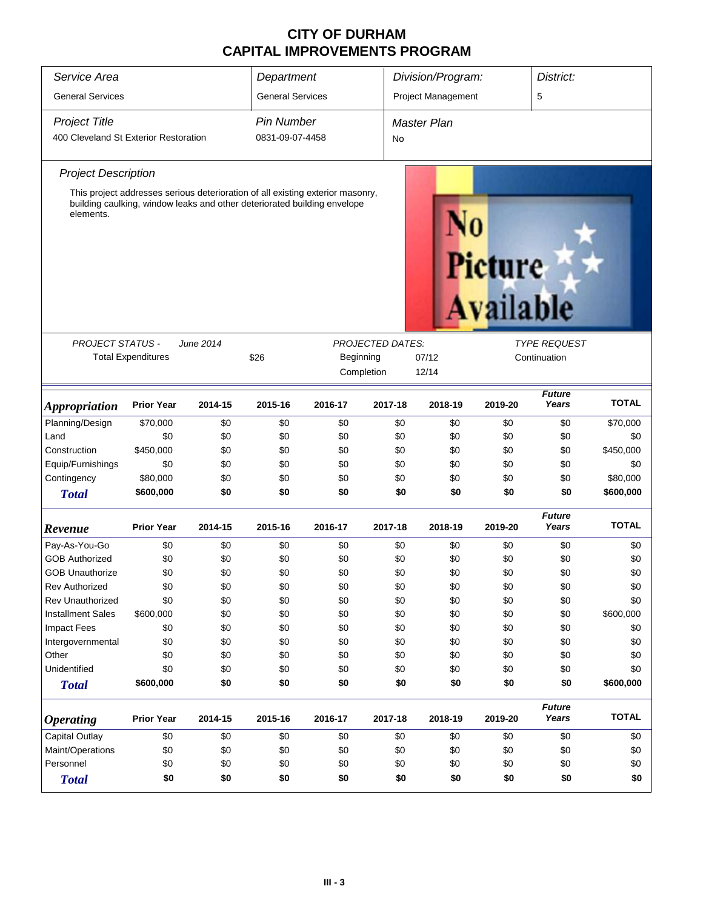| Service Area                          |                           |           | Department              |                                                                                                                                                            |                         | Division/Program:  |                            | District:              |              |
|---------------------------------------|---------------------------|-----------|-------------------------|------------------------------------------------------------------------------------------------------------------------------------------------------------|-------------------------|--------------------|----------------------------|------------------------|--------------|
| <b>General Services</b>               |                           |           | <b>General Services</b> |                                                                                                                                                            |                         | Project Management |                            | 5                      |              |
| <b>Project Title</b>                  |                           |           | <b>Pin Number</b>       |                                                                                                                                                            |                         | <b>Master Plan</b> |                            |                        |              |
| 400 Cleveland St Exterior Restoration |                           |           | 0831-09-07-4458         |                                                                                                                                                            | No                      |                    |                            |                        |              |
| <b>Project Description</b>            |                           |           |                         |                                                                                                                                                            |                         |                    |                            |                        |              |
| elements.                             |                           |           |                         | This project addresses serious deterioration of all existing exterior masonry,<br>building caulking, window leaks and other deteriorated building envelope |                         |                    | <b>Picture</b><br>vailable |                        |              |
| <b>PROJECT STATUS -</b>               |                           | June 2014 |                         |                                                                                                                                                            | <b>PROJECTED DATES:</b> |                    |                            | <b>TYPE REQUEST</b>    |              |
|                                       | <b>Total Expenditures</b> |           | \$26                    | Beginning                                                                                                                                                  |                         | 07/12              |                            | Continuation           |              |
|                                       |                           |           |                         | Completion                                                                                                                                                 |                         | 12/14              |                            |                        |              |
| Appropriation                         | <b>Prior Year</b>         | 2014-15   | 2015-16                 | 2016-17                                                                                                                                                    | 2017-18                 | 2018-19            | 2019-20                    | <b>Future</b><br>Years | <b>TOTAL</b> |
| Planning/Design                       | \$70,000                  | \$0       | \$0                     | \$0                                                                                                                                                        | \$0                     | \$0                | \$0                        | \$0                    | \$70,000     |
| Land                                  | \$0                       | \$0       | \$0                     | \$0                                                                                                                                                        | \$0                     | \$0                | \$0                        | \$0                    | \$0          |
| Construction                          | \$450,000                 | \$0       | \$0                     | \$0                                                                                                                                                        | \$0                     | \$0                | \$0                        | \$0                    | \$450,000    |
| Equip/Furnishings                     | \$0                       | \$0       | \$0                     | \$0                                                                                                                                                        | \$0                     | \$0                | \$0                        | \$0                    | \$0          |
| Contingency                           | \$80,000                  | \$0       | \$0                     | \$0                                                                                                                                                        | \$0                     | \$0                | \$0                        | \$0                    | \$80,000     |
| <b>Total</b>                          | \$600,000                 | \$0       | \$0                     | \$0                                                                                                                                                        | \$0                     | \$0                | \$0                        | \$0                    | \$600,000    |
| Revenue                               | <b>Prior Year</b>         | 2014-15   | 2015-16                 | 2016-17                                                                                                                                                    | 2017-18                 | 2018-19            | 2019-20                    | <b>Future</b><br>Years | <b>TOTAL</b> |
| Pay-As-You-Go                         | \$0                       | \$0       | \$0                     | \$0                                                                                                                                                        | \$0                     | \$0                | \$0                        | \$0                    | \$0          |
| <b>GOB Authorized</b>                 | \$0                       | \$0       | \$0                     | \$0                                                                                                                                                        | \$0                     | \$0                | \$0                        | \$0                    | \$0          |
| <b>GOB Unauthorize</b>                | \$0                       | \$0       | \$0                     | \$0                                                                                                                                                        | \$0                     | \$0                | \$0                        | \$0                    | \$0          |
| <b>Rev Authorized</b>                 | \$0                       | \$0       | \$0                     | \$0                                                                                                                                                        | \$0                     | \$0                | \$0                        | \$0                    | \$0          |
| <b>Rev Unauthorized</b>               | \$0                       | \$0       | \$0                     | \$0                                                                                                                                                        | \$0                     | \$0                | \$0                        | \$0                    | \$0          |
| <b>Installment Sales</b>              | \$600,000                 | \$0       | \$0                     | \$0                                                                                                                                                        | \$0                     | \$0                | \$0                        | \$0                    | \$600,000    |
| <b>Impact Fees</b>                    | \$0                       | \$0       | \$0                     | \$0                                                                                                                                                        | \$0                     | \$0                | \$0                        | \$0                    | \$0          |
| Intergovernmental                     | \$0                       | \$0       | \$0                     | \$0                                                                                                                                                        | \$0                     | \$0                | \$0                        | \$0                    | \$0          |
| Other                                 | \$0                       | \$0       | \$0                     | \$0                                                                                                                                                        | \$0                     | \$0                | \$0                        | \$0                    | \$0          |
| Unidentified                          | \$0                       | \$0       | \$0                     | \$0                                                                                                                                                        | \$0                     | \$0                | \$0                        | \$0                    | \$0          |
| <b>Total</b>                          | \$600,000                 | \$0       | \$0                     | \$0                                                                                                                                                        | \$0                     | \$0                | \$0                        | \$0                    | \$600,000    |
| <b>Operating</b>                      | <b>Prior Year</b>         | 2014-15   | 2015-16                 | 2016-17                                                                                                                                                    | 2017-18                 | 2018-19            | 2019-20                    | <b>Future</b><br>Years | <b>TOTAL</b> |
| <b>Capital Outlay</b>                 | \$0                       | \$0       | \$0                     | \$0                                                                                                                                                        | \$0                     | \$0                | \$0                        | \$0                    | \$0          |
| Maint/Operations                      | \$0                       | \$0       | \$0                     | \$0                                                                                                                                                        | \$0                     | \$0                | \$0                        | \$0                    | \$0          |
| Personnel                             | \$0                       | \$0       | \$0                     | \$0                                                                                                                                                        | \$0                     | \$0                | \$0                        | \$0                    | \$0          |
| <b>Total</b>                          | \$0                       | \$0       | \$0                     | \$0                                                                                                                                                        | \$0                     | \$0                | \$0                        | \$0                    | \$0          |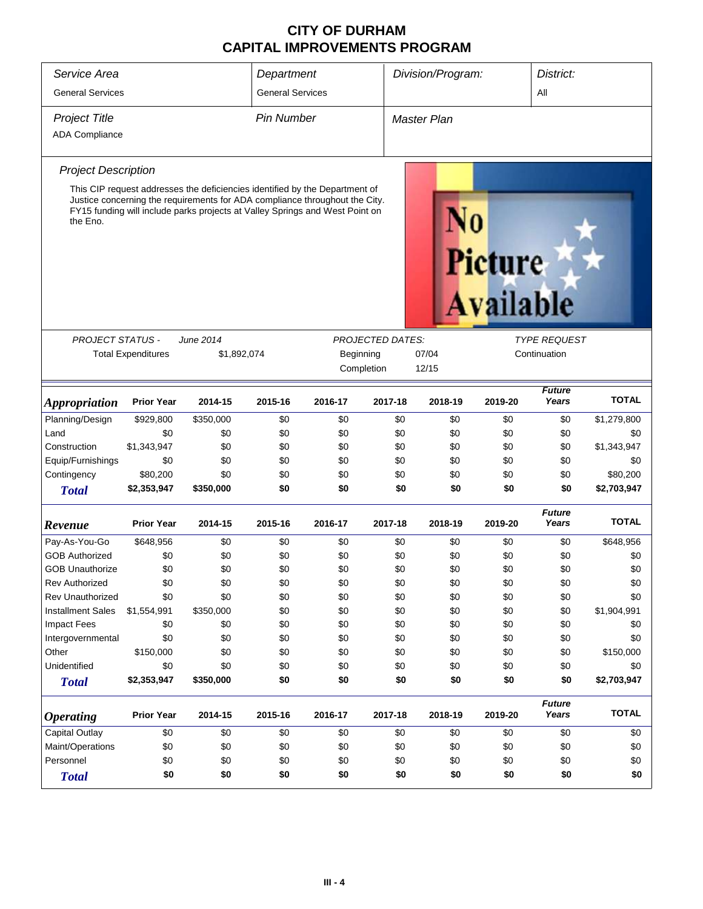| Service Area                |                           |             | Department              |                                                                                                                                                                                                                                            |                         | Division/Program: |                                    | District:              |              |
|-----------------------------|---------------------------|-------------|-------------------------|--------------------------------------------------------------------------------------------------------------------------------------------------------------------------------------------------------------------------------------------|-------------------------|-------------------|------------------------------------|------------------------|--------------|
| <b>General Services</b>     |                           |             | <b>General Services</b> |                                                                                                                                                                                                                                            |                         |                   |                                    | All                    |              |
|                             |                           |             |                         |                                                                                                                                                                                                                                            |                         |                   |                                    |                        |              |
| <b>Project Title</b>        |                           |             | <b>Pin Number</b>       |                                                                                                                                                                                                                                            |                         | Master Plan       |                                    |                        |              |
| <b>ADA Compliance</b>       |                           |             |                         |                                                                                                                                                                                                                                            |                         |                   |                                    |                        |              |
| <b>Project Description</b>  |                           |             |                         |                                                                                                                                                                                                                                            |                         |                   |                                    |                        |              |
| the Eno.                    |                           |             |                         | This CIP request addresses the deficiencies identified by the Department of<br>Justice concerning the requirements for ADA compliance throughout the City.<br>FY15 funding will include parks projects at Valley Springs and West Point on |                         |                   | <b>Picture</b><br><b>Available</b> |                        |              |
| <b>PROJECT STATUS -</b>     |                           | June 2014   |                         |                                                                                                                                                                                                                                            | <b>PROJECTED DATES:</b> |                   |                                    | <b>TYPE REQUEST</b>    |              |
|                             | <b>Total Expenditures</b> | \$1,892,074 |                         | Beginning                                                                                                                                                                                                                                  |                         | 07/04             |                                    | Continuation           |              |
|                             |                           |             |                         | Completion                                                                                                                                                                                                                                 |                         | 12/15             |                                    |                        |              |
|                             |                           |             |                         |                                                                                                                                                                                                                                            |                         |                   |                                    | <b>Future</b>          |              |
| <i><b>Appropriation</b></i> | <b>Prior Year</b>         | 2014-15     | 2015-16                 | 2016-17                                                                                                                                                                                                                                    | 2017-18                 | 2018-19           | 2019-20                            | Years                  | <b>TOTAL</b> |
| Planning/Design             | \$929,800                 | \$350,000   | \$0                     | \$0                                                                                                                                                                                                                                        | \$0                     | \$0               | \$0                                | \$0                    | \$1,279,800  |
| Land                        | \$0                       | \$0         | \$0                     | \$0                                                                                                                                                                                                                                        | \$0                     | \$0               | \$0                                | \$0                    | \$0          |
| Construction                | \$1,343,947               | \$0         | \$0                     | \$0                                                                                                                                                                                                                                        | \$0                     | \$0               | \$0                                | \$0                    | \$1,343,947  |
| Equip/Furnishings           | \$0                       | \$0         | \$0                     | \$0                                                                                                                                                                                                                                        | \$0                     | \$0               | \$0                                | \$0                    | \$0          |
| Contingency                 | \$80,200                  | \$0         | \$0                     | \$0                                                                                                                                                                                                                                        | \$0                     | \$0               | \$0                                | \$0                    | \$80,200     |
| <b>Total</b>                | \$2,353,947               | \$350,000   | \$0                     | \$0                                                                                                                                                                                                                                        | \$0                     | \$0               | \$0                                | \$0                    | \$2,703,947  |
| Revenue                     | <b>Prior Year</b>         | 2014-15     | 2015-16                 | 2016-17                                                                                                                                                                                                                                    | 2017-18                 | 2018-19           | 2019-20                            | <b>Future</b><br>Years | <b>TOTAL</b> |
| Pay-As-You-Go               | \$648,956                 | \$0         | \$0                     | \$0                                                                                                                                                                                                                                        | \$0                     | \$0               | \$0                                | \$0                    | \$648,956    |
| <b>GOB Authorized</b>       | \$0                       | \$0         | \$0                     | \$0                                                                                                                                                                                                                                        | \$0                     | \$0               | \$0                                | \$0                    | \$0          |
| <b>GOB Unauthorize</b>      | \$0                       | \$0         | \$0                     | \$0                                                                                                                                                                                                                                        | \$0                     | \$0               | \$0                                | \$0                    | \$0          |
| <b>Rev Authorized</b>       | \$0                       | \$0         | \$0                     | \$0                                                                                                                                                                                                                                        | \$0                     | \$0               | \$0                                | \$0                    | \$0          |
| <b>Rev Unauthorized</b>     | \$0                       | \$0         | \$0                     | \$0                                                                                                                                                                                                                                        | \$0                     | \$0               | \$0                                | \$0                    | \$0          |
| <b>Installment Sales</b>    | \$1,554,991               | \$350,000   | \$0                     | \$0                                                                                                                                                                                                                                        | \$0                     | \$0               | \$0                                | \$0                    | \$1,904,991  |
| <b>Impact Fees</b>          | \$0                       | \$0         | \$0                     | \$0                                                                                                                                                                                                                                        | \$0                     | \$0               | \$0                                | \$0                    | \$0          |
| Intergovernmental           | \$0                       | \$0         | \$0                     | \$0                                                                                                                                                                                                                                        | \$0                     | \$0               | \$0                                | \$0                    | \$0          |
| Other                       | \$150,000                 | \$0         | \$0                     | \$0                                                                                                                                                                                                                                        | \$0                     | \$0               | \$0                                | \$0                    | \$150,000    |
| Unidentified                | \$0                       | \$0         | \$0                     | \$0                                                                                                                                                                                                                                        | \$0                     | \$0               | \$0                                | \$0                    | \$0          |
| <b>Total</b>                | \$2,353,947               | \$350,000   | \$0                     | \$0                                                                                                                                                                                                                                        | \$0                     | \$0               | \$0                                | \$0                    | \$2,703,947  |
| <b>Operating</b>            | <b>Prior Year</b>         | 2014-15     | 2015-16                 | 2016-17                                                                                                                                                                                                                                    | 2017-18                 | 2018-19           | 2019-20                            | <b>Future</b><br>Years | <b>TOTAL</b> |
| Capital Outlay              | \$0                       | \$0         | \$0                     | \$0                                                                                                                                                                                                                                        | \$0                     | \$0               | \$0                                | \$0                    | \$0          |
| Maint/Operations            | \$0                       | \$0         | \$0                     | \$0                                                                                                                                                                                                                                        | \$0                     | \$0               | \$0                                | \$0                    | \$0          |
| Personnel                   | \$0                       | \$0         | \$0                     | \$0                                                                                                                                                                                                                                        | \$0                     | \$0               | \$0                                | \$0                    | \$0          |
| <b>Total</b>                | \$0                       | \$0         | \$0                     | \$0                                                                                                                                                                                                                                        | \$0                     | \$0               | \$0                                | \$0                    | \$0          |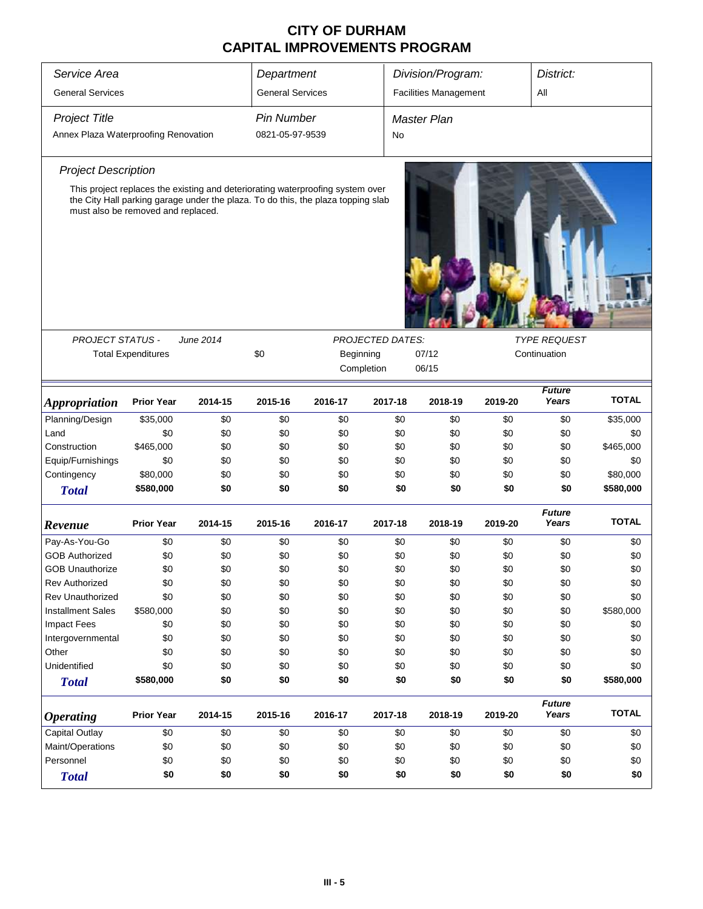| Service Area                         |                                    |           | Department              |                                                                                                                                                                    |                         | Division/Program:            |         | District:              |              |
|--------------------------------------|------------------------------------|-----------|-------------------------|--------------------------------------------------------------------------------------------------------------------------------------------------------------------|-------------------------|------------------------------|---------|------------------------|--------------|
| <b>General Services</b>              |                                    |           | <b>General Services</b> |                                                                                                                                                                    |                         | <b>Facilities Management</b> |         | All                    |              |
| <b>Project Title</b>                 |                                    |           | <b>Pin Number</b>       |                                                                                                                                                                    |                         | <b>Master Plan</b>           |         |                        |              |
| Annex Plaza Waterproofing Renovation |                                    |           | 0821-05-97-9539         |                                                                                                                                                                    | No                      |                              |         |                        |              |
| <b>Project Description</b>           |                                    |           |                         |                                                                                                                                                                    |                         |                              |         |                        |              |
|                                      | must also be removed and replaced. |           |                         | This project replaces the existing and deteriorating waterproofing system over<br>the City Hall parking garage under the plaza. To do this, the plaza topping slab |                         |                              |         |                        |              |
| <b>PROJECT STATUS -</b>              |                                    | June 2014 |                         |                                                                                                                                                                    | <b>PROJECTED DATES:</b> |                              |         | <b>TYPE REQUEST</b>    |              |
|                                      | <b>Total Expenditures</b>          |           | \$0                     | Beginning<br>Completion                                                                                                                                            |                         | 07/12<br>06/15               |         | Continuation           |              |
| <b>Appropriation</b>                 | <b>Prior Year</b>                  | 2014-15   | 2015-16                 | 2016-17                                                                                                                                                            | 2017-18                 | 2018-19                      | 2019-20 | <b>Future</b><br>Years | <b>TOTAL</b> |
| Planning/Design                      | \$35,000                           | \$0       | \$0                     | \$0                                                                                                                                                                | \$0                     | \$0                          | \$0     | \$0                    | \$35,000     |
| Land                                 | \$0                                | \$0       | \$0                     | \$0                                                                                                                                                                | \$0                     | \$0                          | \$0     | \$0                    | \$0          |
| Construction                         | \$465,000                          | \$0       | \$0                     | \$0                                                                                                                                                                | \$0                     | \$0                          | \$0     | \$0                    | \$465,000    |
| Equip/Furnishings                    | \$0                                | \$0       | \$0                     | \$0                                                                                                                                                                | \$0                     | \$0                          | \$0     | \$0                    | \$0          |
| Contingency                          | \$80,000                           | \$0       | \$0                     | \$0                                                                                                                                                                | \$0                     | \$0                          | \$0     | \$0                    | \$80,000     |
| <b>Total</b>                         | \$580,000                          | \$0       | \$0                     | \$0                                                                                                                                                                | \$0                     | \$0                          | \$0     | \$0                    | \$580,000    |
| Revenue                              | <b>Prior Year</b>                  | 2014-15   | 2015-16                 | 2016-17                                                                                                                                                            | 2017-18                 | 2018-19                      | 2019-20 | <b>Future</b><br>Years | <b>TOTAL</b> |
| Pay-As-You-Go                        | \$0                                | \$0       | \$0                     | \$0                                                                                                                                                                | \$0                     | \$0                          | \$0     | \$0                    | \$0          |
| <b>GOB Authorized</b>                | \$0                                | \$0       | \$0                     | \$0                                                                                                                                                                | \$0                     | \$0                          | \$0     | \$0                    | \$0          |
| <b>GOB Unauthorize</b>               | \$0                                | \$0       | \$0                     | \$0                                                                                                                                                                | \$0                     | \$0                          | \$0     | \$0                    | \$0          |
| Rev Authorized                       | \$0                                | \$0       | \$0                     | \$0                                                                                                                                                                | \$0                     | \$0                          | \$0     | \$0                    | \$0          |
| <b>Rev Unauthorized</b>              | \$0                                | \$0       | \$0                     | \$0                                                                                                                                                                | \$0                     | \$0                          | \$0     | \$0                    | \$0          |
| <b>Installment Sales</b>             | \$580,000                          | \$0       | \$0                     | \$0                                                                                                                                                                | \$0                     | \$0                          | \$0     | \$0                    | \$580,000    |
| <b>Impact Fees</b>                   | \$0                                | \$0       | \$0                     | \$0                                                                                                                                                                | \$0                     | \$0                          | \$0     | \$0                    | \$0          |
| Intergovernmental                    | \$0                                | \$0       | \$0                     | \$0                                                                                                                                                                | \$0                     | \$0                          | \$0     | \$0                    | \$0          |
| Other                                | \$0                                | \$0       | \$0                     | \$0                                                                                                                                                                | \$0                     | \$0                          | \$0     | \$0                    | \$0          |
| Unidentified                         | \$0                                | \$0       | \$0                     | \$0                                                                                                                                                                | \$0                     | \$0                          | \$0     | \$0                    | \$0          |
| <b>Total</b>                         | \$580,000                          | \$0       | \$0                     | \$0                                                                                                                                                                | \$0                     | \$0                          | \$0     | \$0                    | \$580,000    |
| <b>Operating</b>                     | <b>Prior Year</b>                  | 2014-15   | 2015-16                 | 2016-17                                                                                                                                                            | 2017-18                 | 2018-19                      | 2019-20 | <b>Future</b><br>Years | <b>TOTAL</b> |
| <b>Capital Outlay</b>                | \$0                                | \$0       | \$0                     | \$0                                                                                                                                                                | \$0                     | \$0                          | \$0     | \$0                    | \$0          |
| Maint/Operations                     | \$0                                | \$0       | \$0                     | \$0                                                                                                                                                                | \$0                     | \$0                          | \$0     | \$0                    | \$0          |
| Personnel                            | \$0                                | \$0       | \$0                     | \$0                                                                                                                                                                | \$0                     | \$0                          | \$0     | \$0                    | \$0          |
| <b>Total</b>                         | \$0                                | \$0       | \$0                     | \$0                                                                                                                                                                | \$0                     | \$0                          | \$0     | \$0                    | \$0          |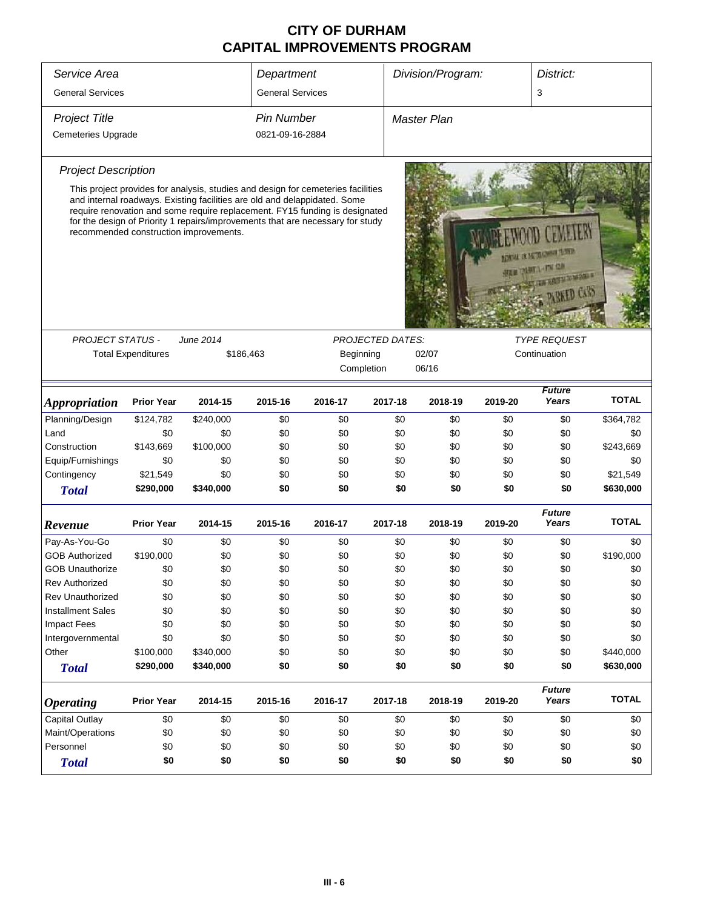| Service Area                |                           |                                                                                                                                                                                                                                                                                                                                                                          | Department              |            |                         | Division/Program:  |         | District:                                     |              |
|-----------------------------|---------------------------|--------------------------------------------------------------------------------------------------------------------------------------------------------------------------------------------------------------------------------------------------------------------------------------------------------------------------------------------------------------------------|-------------------------|------------|-------------------------|--------------------|---------|-----------------------------------------------|--------------|
| <b>General Services</b>     |                           |                                                                                                                                                                                                                                                                                                                                                                          | <b>General Services</b> |            |                         |                    |         | 3                                             |              |
| <b>Project Title</b>        |                           |                                                                                                                                                                                                                                                                                                                                                                          | <b>Pin Number</b>       |            |                         | <b>Master Plan</b> |         |                                               |              |
| Cemeteries Upgrade          |                           |                                                                                                                                                                                                                                                                                                                                                                          | 0821-09-16-2884         |            |                         |                    |         |                                               |              |
| <b>Project Description</b>  |                           | This project provides for analysis, studies and design for cemeteries facilities<br>and internal roadways. Existing facilities are old and delappidated. Some<br>require renovation and some require replacement. FY15 funding is designated<br>for the design of Priority 1 repairs/improvements that are necessary for study<br>recommended construction improvements. |                         |            |                         |                    |         | THE R REGISTER OF<br><b>NAMES AND ADDRESS</b> |              |
| <b>PROJECT STATUS -</b>     | <b>Total Expenditures</b> | June 2014<br>\$186,463                                                                                                                                                                                                                                                                                                                                                   |                         | Beginning  | <b>PROJECTED DATES:</b> | 02/07              |         | <b>TYPE REQUEST</b><br>Continuation           |              |
|                             |                           |                                                                                                                                                                                                                                                                                                                                                                          |                         | Completion |                         | 06/16              |         |                                               |              |
| <i><b>Appropriation</b></i> | <b>Prior Year</b>         | 2014-15                                                                                                                                                                                                                                                                                                                                                                  | 2015-16                 | 2016-17    | 2017-18                 | 2018-19            | 2019-20 | <b>Future</b><br>Years                        | <b>TOTAL</b> |
| Planning/Design             | \$124,782                 | \$240,000                                                                                                                                                                                                                                                                                                                                                                | \$0                     | \$0        | \$0                     | \$0                | \$0     | \$0                                           | \$364,782    |
| Land                        | \$0                       | \$0                                                                                                                                                                                                                                                                                                                                                                      | \$0                     | \$0        | \$0                     | \$0                | \$0     | \$0                                           | \$0          |
| Construction                | \$143,669                 | \$100,000                                                                                                                                                                                                                                                                                                                                                                | \$0                     | \$0        | \$0                     | \$0                | \$0     | \$0                                           | \$243,669    |
| Equip/Furnishings           | \$0                       | \$0                                                                                                                                                                                                                                                                                                                                                                      | \$0                     | \$0        | \$0                     | \$0                | \$0     | \$0                                           | \$0          |
| Contingency                 | \$21,549                  | \$0                                                                                                                                                                                                                                                                                                                                                                      | \$0                     | \$0        | \$0                     | \$0                | \$0     | \$0                                           | \$21,549     |
| <b>Total</b>                | \$290,000                 | \$340,000                                                                                                                                                                                                                                                                                                                                                                | \$0                     | \$0        | \$0                     | \$0                | \$0     | \$0                                           | \$630,000    |
| Revenue                     | <b>Prior Year</b>         | 2014-15                                                                                                                                                                                                                                                                                                                                                                  | 2015-16                 | 2016-17    | 2017-18                 | 2018-19            | 2019-20 | <b>Future</b><br>Years                        | TOTAL        |
| Pay-As-You-Go               | \$0                       | \$0                                                                                                                                                                                                                                                                                                                                                                      | \$0                     | \$0        | \$0                     | \$0                | \$0     | \$0                                           | \$0          |
| <b>GOB Authorized</b>       | \$190,000                 | \$0                                                                                                                                                                                                                                                                                                                                                                      | \$0                     | \$0        | \$0                     | \$0                | \$0     | \$0                                           | \$190,000    |
| <b>GOB Unauthorize</b>      | \$0                       | \$0                                                                                                                                                                                                                                                                                                                                                                      | \$0                     | \$0        | \$0                     | \$0                | \$0     | \$0                                           | \$0          |
| <b>Rev Authorized</b>       | \$0                       | \$0                                                                                                                                                                                                                                                                                                                                                                      | \$0                     | \$0        | \$0                     | \$0                | \$0     | \$0                                           | \$0          |
| Rev Unauthorized            | \$0                       | \$0                                                                                                                                                                                                                                                                                                                                                                      | \$0                     | \$0        | \$0                     | \$0                | \$0     | \$0                                           | \$0          |
| <b>Installment Sales</b>    | \$0                       | \$0                                                                                                                                                                                                                                                                                                                                                                      | \$0                     | \$0        | \$0                     | \$0                | \$0     | \$0                                           | \$0          |
| <b>Impact Fees</b>          | \$0                       | \$0                                                                                                                                                                                                                                                                                                                                                                      | \$0                     | \$0        | \$0                     | \$0                | \$0     | \$0                                           | \$0          |
| Intergovernmental           | \$0                       | \$0                                                                                                                                                                                                                                                                                                                                                                      | \$0                     | \$0        | \$0                     | \$0                | \$0     | \$0                                           | \$0          |
| Other                       | \$100,000                 | \$340,000                                                                                                                                                                                                                                                                                                                                                                | \$0                     | \$0        | \$0                     | \$0                | \$0     | \$0                                           | \$440,000    |
| <b>Total</b>                | \$290,000                 | \$340,000                                                                                                                                                                                                                                                                                                                                                                | \$0                     | \$0        | \$0                     | \$0                | \$0     | \$0                                           | \$630,000    |
| <b>Operating</b>            | <b>Prior Year</b>         | 2014-15                                                                                                                                                                                                                                                                                                                                                                  | 2015-16                 | 2016-17    | 2017-18                 | 2018-19            | 2019-20 | <b>Future</b><br>Years                        | <b>TOTAL</b> |
| <b>Capital Outlay</b>       | \$0                       | \$0                                                                                                                                                                                                                                                                                                                                                                      | \$0                     | \$0        | \$0                     | \$0                | \$0     | \$0                                           | \$0          |
| Maint/Operations            | \$0                       | \$0                                                                                                                                                                                                                                                                                                                                                                      | \$0                     | \$0        | \$0                     | \$0                | \$0     | \$0                                           | \$0          |
| Personnel                   | \$0                       | \$0                                                                                                                                                                                                                                                                                                                                                                      | \$0                     | \$0        | \$0                     | \$0                | \$0     | \$0                                           | \$0          |
| <b>Total</b>                | \$0                       | \$0                                                                                                                                                                                                                                                                                                                                                                      | \$0                     | \$0        | \$0                     | \$0                | \$0     | \$0                                           | \$0          |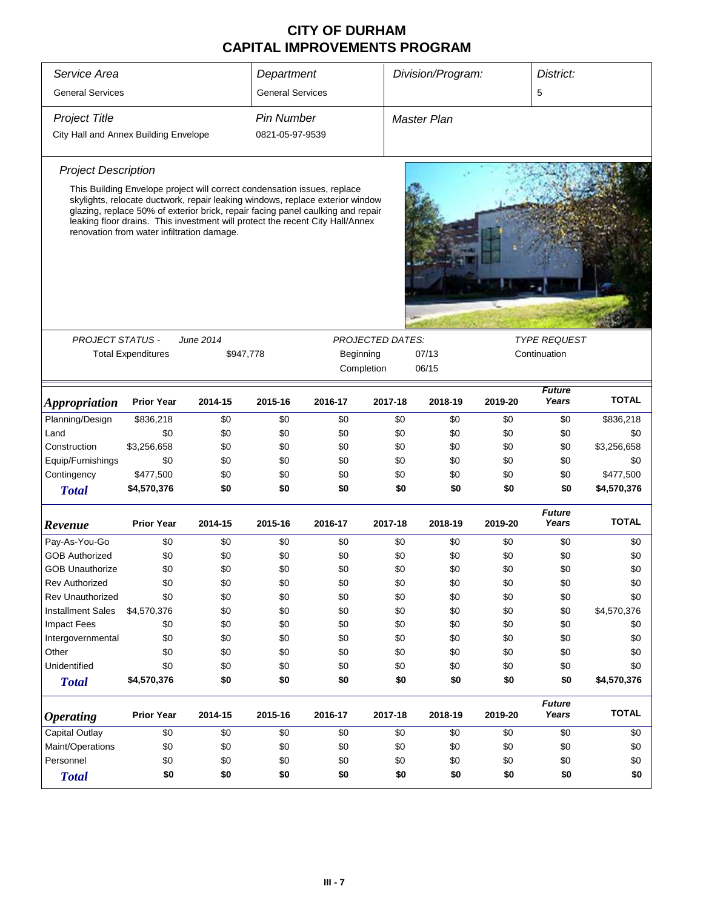| Service Area                          |                                                                                                                                                                                                                                                                                                                                                                             |           | Department              |           |                         | Division/Program: |         | District:              |              |
|---------------------------------------|-----------------------------------------------------------------------------------------------------------------------------------------------------------------------------------------------------------------------------------------------------------------------------------------------------------------------------------------------------------------------------|-----------|-------------------------|-----------|-------------------------|-------------------|---------|------------------------|--------------|
| <b>General Services</b>               |                                                                                                                                                                                                                                                                                                                                                                             |           | <b>General Services</b> |           |                         |                   |         | 5                      |              |
| <b>Project Title</b>                  |                                                                                                                                                                                                                                                                                                                                                                             |           | <b>Pin Number</b>       |           |                         | Master Plan       |         |                        |              |
| City Hall and Annex Building Envelope |                                                                                                                                                                                                                                                                                                                                                                             |           | 0821-05-97-9539         |           |                         |                   |         |                        |              |
| <b>Project Description</b>            |                                                                                                                                                                                                                                                                                                                                                                             |           |                         |           |                         |                   |         |                        |              |
|                                       | This Building Envelope project will correct condensation issues, replace<br>skylights, relocate ductwork, repair leaking windows, replace exterior window<br>glazing, replace 50% of exterior brick, repair facing panel caulking and repair<br>leaking floor drains. This investment will protect the recent City Hall/Annex<br>renovation from water infiltration damage. |           |                         |           |                         |                   |         |                        |              |
| <b>PROJECT STATUS -</b>               |                                                                                                                                                                                                                                                                                                                                                                             | June 2014 |                         |           | <b>PROJECTED DATES:</b> |                   |         | <b>TYPE REQUEST</b>    |              |
|                                       | <b>Total Expenditures</b>                                                                                                                                                                                                                                                                                                                                                   | \$947,778 |                         | Beginning | Completion              | 07/13<br>06/15    |         | Continuation           |              |
| <i><b>Appropriation</b></i>           | <b>Prior Year</b>                                                                                                                                                                                                                                                                                                                                                           | 2014-15   | 2015-16                 | 2016-17   | 2017-18                 | 2018-19           | 2019-20 | <b>Future</b><br>Years | <b>TOTAL</b> |
| Planning/Design                       | \$836,218                                                                                                                                                                                                                                                                                                                                                                   | \$0       | \$0                     | \$0       | \$0                     | \$0               | \$0     | \$0                    | \$836,218    |
| Land                                  | \$0                                                                                                                                                                                                                                                                                                                                                                         | \$0       | \$0                     | \$0       | \$0                     | \$0               | \$0     | \$0                    | \$0          |
| Construction                          | \$3,256,658                                                                                                                                                                                                                                                                                                                                                                 | \$0       | \$0                     | \$0       | \$0                     | \$0               | \$0     | \$0                    | \$3,256,658  |
| Equip/Furnishings                     | \$0                                                                                                                                                                                                                                                                                                                                                                         | \$0       | \$0                     | \$0       | \$0                     | \$0               | \$0     | \$0                    | \$0          |
| Contingency                           | \$477,500                                                                                                                                                                                                                                                                                                                                                                   | \$0       | \$0                     | \$0       | \$0                     | \$0               | \$0     | \$0                    | \$477,500    |
| <b>Total</b>                          | \$4,570,376                                                                                                                                                                                                                                                                                                                                                                 | \$0       | \$0                     | \$0       | \$0                     | \$0               | \$0     | \$0                    | \$4,570,376  |
| Revenue                               | <b>Prior Year</b>                                                                                                                                                                                                                                                                                                                                                           | 2014-15   | 2015-16                 | 2016-17   | 2017-18                 | 2018-19           | 2019-20 | <b>Future</b><br>Years | TOTAL        |
| Pay-As-You-Go                         | \$0                                                                                                                                                                                                                                                                                                                                                                         | \$0       | \$0                     | \$0       | \$0                     | \$0               | \$0     | \$0                    | \$0          |
| <b>GOB Authorized</b>                 | \$0                                                                                                                                                                                                                                                                                                                                                                         | \$0       | \$0                     | \$0       | \$0                     | \$0               | \$0     | \$0                    | \$0          |
| <b>GOB Unauthorize</b>                | \$0                                                                                                                                                                                                                                                                                                                                                                         | \$0       | \$0                     | \$0       | \$0                     | \$0               | \$0     | \$0                    | \$0          |
| Rev Authorized                        | \$0                                                                                                                                                                                                                                                                                                                                                                         | \$0       | \$0                     | \$0       | \$0                     | \$0               | \$0     | \$0                    | \$0          |
| <b>Rev Unauthorized</b>               | \$0                                                                                                                                                                                                                                                                                                                                                                         | \$0       | \$0                     | \$0       | \$0                     | \$0               | \$0     | \$0                    | \$0          |
| <b>Installment Sales</b>              | \$4,570,376                                                                                                                                                                                                                                                                                                                                                                 | \$0       | \$0                     | \$0       | \$0                     | \$0               | \$0     | \$0                    | \$4,570,376  |
| <b>Impact Fees</b>                    | \$0                                                                                                                                                                                                                                                                                                                                                                         | \$0       | \$0                     | \$0       | \$0                     | \$0               | \$0     | \$0                    | \$0          |
| Intergovernmental                     | \$0                                                                                                                                                                                                                                                                                                                                                                         | \$0       | \$0                     | \$0       | \$0                     | \$0               | \$0     | \$0                    | \$0          |
| Other                                 | \$0                                                                                                                                                                                                                                                                                                                                                                         | \$0       | \$0                     | \$0       | \$0                     | \$0               | \$0     | \$0                    | \$0          |
| Unidentified                          | \$0                                                                                                                                                                                                                                                                                                                                                                         | \$0       | \$0                     | \$0       | \$0                     | \$0               | \$0     | \$0                    | \$0          |
| <b>Total</b>                          | \$4,570,376                                                                                                                                                                                                                                                                                                                                                                 | \$0       | \$0                     | \$0       | \$0                     | \$0               | \$0     | \$0                    | \$4,570,376  |
| <b>Operating</b>                      | <b>Prior Year</b>                                                                                                                                                                                                                                                                                                                                                           | 2014-15   | 2015-16                 | 2016-17   | 2017-18                 | 2018-19           | 2019-20 | <b>Future</b><br>Years | <b>TOTAL</b> |
| Capital Outlay                        | \$0                                                                                                                                                                                                                                                                                                                                                                         | \$0       | \$0                     | \$0       | \$0                     | \$0               | \$0     | \$0                    | \$0          |
| Maint/Operations                      | \$0                                                                                                                                                                                                                                                                                                                                                                         | \$0       | \$0                     | \$0       | \$0                     | \$0               | \$0     | \$0                    | \$0          |
| Personnel                             | \$0                                                                                                                                                                                                                                                                                                                                                                         | \$0       | \$0                     | \$0       | \$0                     | \$0               | \$0     | \$0                    | \$0          |
| <b>Total</b>                          | \$0                                                                                                                                                                                                                                                                                                                                                                         | \$0       | \$0                     | \$0       | \$0                     | \$0               | \$0     | \$0                    | \$0          |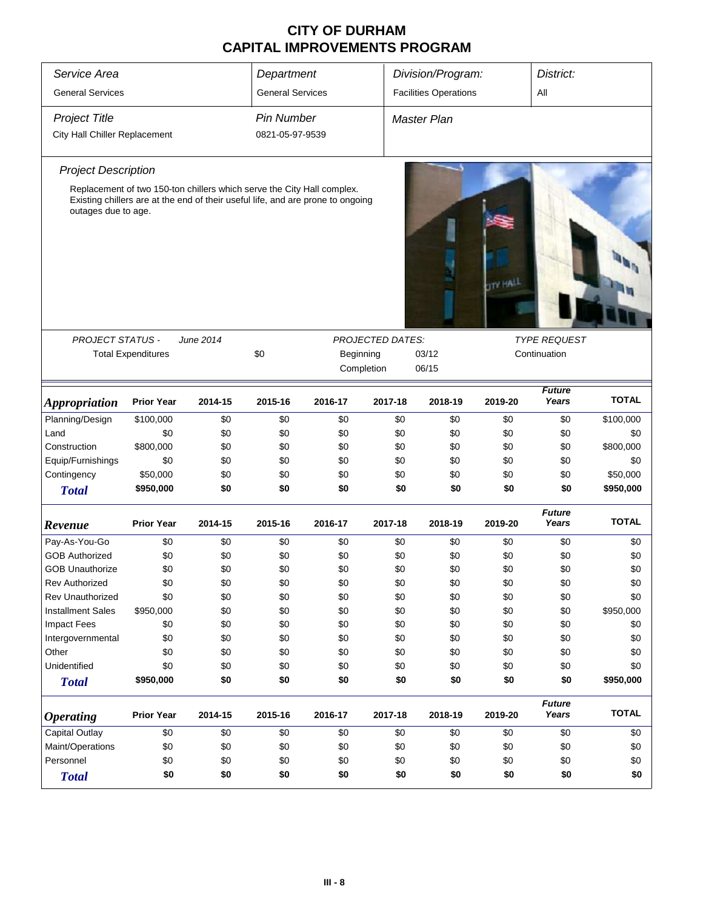| Service Area                  |                                                                                                                                                           |           | Department              |           |                         | Division/Program:            |                 | District:              |              |
|-------------------------------|-----------------------------------------------------------------------------------------------------------------------------------------------------------|-----------|-------------------------|-----------|-------------------------|------------------------------|-----------------|------------------------|--------------|
| <b>General Services</b>       |                                                                                                                                                           |           | <b>General Services</b> |           |                         | <b>Facilities Operations</b> |                 | All                    |              |
| <b>Project Title</b>          |                                                                                                                                                           |           | <b>Pin Number</b>       |           |                         | <b>Master Plan</b>           |                 |                        |              |
| City Hall Chiller Replacement |                                                                                                                                                           |           | 0821-05-97-9539         |           |                         |                              |                 |                        |              |
|                               |                                                                                                                                                           |           |                         |           |                         |                              |                 |                        |              |
| <b>Project Description</b>    |                                                                                                                                                           |           |                         |           |                         |                              |                 |                        |              |
| outages due to age.           | Replacement of two 150-ton chillers which serve the City Hall complex.<br>Existing chillers are at the end of their useful life, and are prone to ongoing |           |                         |           |                         |                              | <b>TTY HALL</b> |                        |              |
| <b>PROJECT STATUS -</b>       |                                                                                                                                                           | June 2014 |                         |           |                         |                              |                 | <b>TYPE REQUEST</b>    |              |
|                               | <b>Total Expenditures</b>                                                                                                                                 |           | \$0                     | Beginning | <b>PROJECTED DATES:</b> | 03/12                        |                 | Continuation           |              |
|                               |                                                                                                                                                           |           |                         |           | Completion              | 06/15                        |                 |                        |              |
|                               |                                                                                                                                                           |           |                         |           |                         |                              |                 |                        |              |
| <i><b>Appropriation</b></i>   | <b>Prior Year</b>                                                                                                                                         | 2014-15   | 2015-16                 | 2016-17   | 2017-18                 | 2018-19                      | 2019-20         | <b>Future</b><br>Years | <b>TOTAL</b> |
| Planning/Design               | \$100,000                                                                                                                                                 | \$0       | \$0                     | \$0       | \$0                     | \$0                          | \$0             | \$0                    | \$100,000    |
| Land                          | \$0                                                                                                                                                       | \$0       | \$0                     | \$0       | \$0                     | \$0                          | \$0             | \$0                    | \$0          |
| Construction                  | \$800,000                                                                                                                                                 | \$0       | \$0                     | \$0       | \$0                     | \$0                          | \$0             | \$0                    | \$800,000    |
| Equip/Furnishings             | \$0                                                                                                                                                       | \$0       | \$0                     | \$0       | \$0                     | \$0                          | \$0             | \$0                    | \$0          |
| Contingency                   | \$50,000                                                                                                                                                  | \$0       | \$0                     | \$0       | \$0                     | \$0                          | \$0             | \$0                    | \$50,000     |
| <b>Total</b>                  | \$950,000                                                                                                                                                 | \$0       | \$0                     | \$0       | \$0                     | \$0                          | \$0             | \$0                    | \$950,000    |
| Revenue                       | <b>Prior Year</b>                                                                                                                                         | 2014-15   | 2015-16                 | 2016-17   | 2017-18                 | 2018-19                      | 2019-20         | <b>Future</b><br>Years | <b>TOTAL</b> |
| Pay-As-You-Go                 | \$0                                                                                                                                                       | \$0       | \$0                     | \$0       | \$0                     | \$0                          | \$0             | \$0                    | \$0          |
| <b>GOB Authorized</b>         | \$0                                                                                                                                                       | \$0       | \$0                     | \$0       | \$0                     | \$0                          | \$0             | \$0                    | \$0          |
| <b>GOB Unauthorize</b>        | \$0                                                                                                                                                       | \$0       | \$0                     | \$0       | \$0                     | \$0                          | \$0             | \$0                    | \$0          |
| <b>Rev Authorized</b>         | \$0                                                                                                                                                       | \$0       | \$0                     | \$0       | \$0                     | \$0                          | \$0             | \$0                    | \$0          |
| <b>Rev Unauthorized</b>       | \$0                                                                                                                                                       | \$0       | \$0                     | \$0       | \$0                     | \$0                          | \$0             | \$0                    | \$0          |
| <b>Installment Sales</b>      | \$950,000                                                                                                                                                 | \$0       | \$0                     | \$0       | \$0                     | \$0                          | \$0             | \$0                    | \$950,000    |
| <b>Impact Fees</b>            | \$0                                                                                                                                                       | \$0       | \$0                     | \$0       | \$0                     | \$0                          | \$0             | \$0                    | \$0          |
| Intergovernmental             | \$0                                                                                                                                                       | \$0       | \$0                     | \$0       | \$0                     | \$0                          | \$0             | \$0                    | \$0          |
| Other                         | \$0                                                                                                                                                       | \$0       | \$0                     | \$0       | \$0                     | \$0                          | \$0             | \$0                    | \$0          |
| Unidentified                  | \$0                                                                                                                                                       | \$0       | \$0                     | \$0       | \$0                     | \$0                          | \$0             | \$0                    | \$0          |
| <b>Total</b>                  | \$950,000                                                                                                                                                 | \$0       | \$0                     | \$0       | \$0                     | \$0                          | \$0             | \$0                    | \$950,000    |
| <b>Operating</b>              | <b>Prior Year</b>                                                                                                                                         | 2014-15   | 2015-16                 | 2016-17   | 2017-18                 | 2018-19                      | 2019-20         | <b>Future</b><br>Years | <b>TOTAL</b> |
| <b>Capital Outlay</b>         | \$0                                                                                                                                                       | \$0       | \$0                     | \$0       | \$0                     | \$0                          | \$0             | \$0                    | \$0          |
| Maint/Operations              | \$0                                                                                                                                                       | \$0       | \$0                     | \$0       | \$0                     | \$0                          | \$0             | \$0                    | \$0          |
| Personnel                     | \$0                                                                                                                                                       | \$0       | \$0                     | \$0       | \$0                     | \$0                          | \$0             | \$0                    | \$0          |
| <b>Total</b>                  | \$0                                                                                                                                                       | \$0       | \$0                     | \$0       | \$0                     | \$0                          | \$0             | \$0                    | \$0          |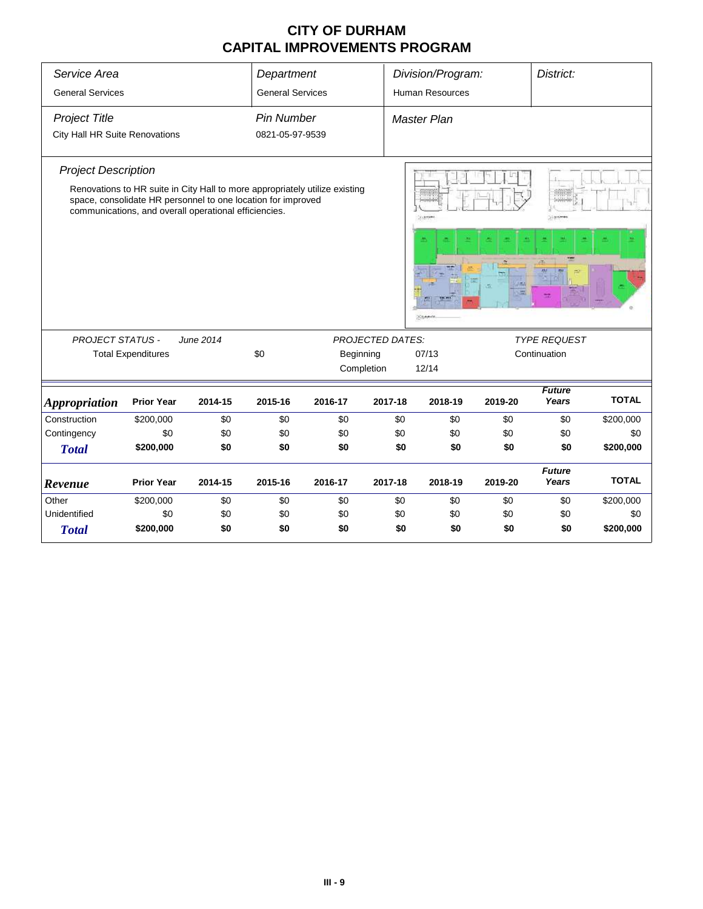| Service Area                   |                                                                                                                                                                                                      |           | Department              |         |                         | Division/Program:      |         | District:              |              |
|--------------------------------|------------------------------------------------------------------------------------------------------------------------------------------------------------------------------------------------------|-----------|-------------------------|---------|-------------------------|------------------------|---------|------------------------|--------------|
| <b>General Services</b>        |                                                                                                                                                                                                      |           | <b>General Services</b> |         |                         | <b>Human Resources</b> |         |                        |              |
| <b>Project Title</b>           |                                                                                                                                                                                                      |           | <b>Pin Number</b>       |         |                         | <b>Master Plan</b>     |         |                        |              |
| City Hall HR Suite Renovations |                                                                                                                                                                                                      |           | 0821-05-97-9539         |         |                         |                        |         |                        |              |
| <b>Project Description</b>     |                                                                                                                                                                                                      |           |                         |         |                         |                        |         |                        |              |
|                                | Renovations to HR suite in City Hall to more appropriately utilize existing<br>space, consolidate HR personnel to one location for improved<br>communications, and overall operational efficiencies. |           |                         |         |                         | 11.8169                |         | 33 to come             |              |
|                                |                                                                                                                                                                                                      |           |                         |         |                         | <b>SERVING</b>         |         |                        |              |
| <b>PROJECT STATUS -</b>        |                                                                                                                                                                                                      | June 2014 |                         |         | <b>PROJECTED DATES:</b> |                        |         | <b>TYPE REQUEST</b>    |              |
|                                | <b>Total Expenditures</b>                                                                                                                                                                            |           | \$0                     |         | Beginning               | 07/13                  |         | Continuation           |              |
|                                |                                                                                                                                                                                                      |           |                         |         | Completion              | 12/14                  |         |                        |              |
| <b>Appropriation</b>           | <b>Prior Year</b>                                                                                                                                                                                    | 2014-15   | 2015-16                 | 2016-17 | 2017-18                 | 2018-19                | 2019-20 | <b>Future</b><br>Years | <b>TOTAL</b> |
| Construction                   | \$200,000                                                                                                                                                                                            | \$0       | \$0                     | \$0     | \$0                     | \$0                    | \$0     | \$0                    | \$200,000    |
| Contingency                    | \$0                                                                                                                                                                                                  | \$0       | \$0                     | \$0     | \$0                     | \$0                    | \$0     | \$0                    | \$0          |
| <b>Total</b>                   | \$200,000                                                                                                                                                                                            | \$0       | \$0                     | \$0     | \$0                     | \$0                    | \$0     | \$0                    | \$200,000    |
| Revenue                        | <b>Prior Year</b>                                                                                                                                                                                    | 2014-15   | 2015-16                 | 2016-17 | 2017-18                 | 2018-19                | 2019-20 | <b>Future</b><br>Years | <b>TOTAL</b> |
| Other                          | \$200,000                                                                                                                                                                                            | \$0       | \$0                     | \$0     | \$0                     | \$0                    | \$0     | \$0                    | \$200,000    |
| Unidentified                   | \$0                                                                                                                                                                                                  | \$0       | \$0                     | \$0     | \$0                     | \$0                    | \$0     | \$0                    | \$0          |
| <b>Total</b>                   | \$200,000                                                                                                                                                                                            | \$0       | \$0                     | \$0     | \$0                     | \$0                    | \$0     | \$0                    | \$200,000    |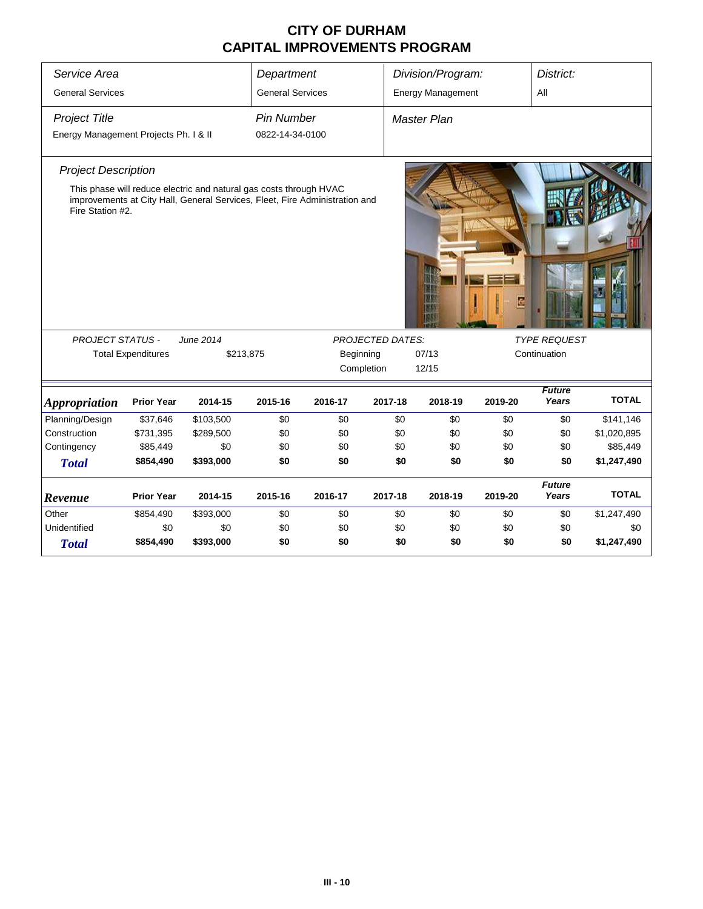| Service Area                          |                           |                                                                                                                                                   | Department              |         |                         | Division/Program:        |         | District:              |              |
|---------------------------------------|---------------------------|---------------------------------------------------------------------------------------------------------------------------------------------------|-------------------------|---------|-------------------------|--------------------------|---------|------------------------|--------------|
| <b>General Services</b>               |                           |                                                                                                                                                   | <b>General Services</b> |         |                         | <b>Energy Management</b> |         | All                    |              |
| <b>Project Title</b>                  |                           |                                                                                                                                                   | <b>Pin Number</b>       |         |                         | <b>Master Plan</b>       |         |                        |              |
| Energy Management Projects Ph. I & II |                           |                                                                                                                                                   | 0822-14-34-0100         |         |                         |                          |         |                        |              |
|                                       |                           |                                                                                                                                                   |                         |         |                         |                          |         |                        |              |
| <b>Project Description</b>            |                           |                                                                                                                                                   |                         |         |                         |                          |         |                        |              |
| Fire Station #2.                      |                           | This phase will reduce electric and natural gas costs through HVAC<br>improvements at City Hall, General Services, Fleet, Fire Administration and |                         |         |                         |                          |         |                        |              |
| <b>PROJECT STATUS -</b>               |                           | June 2014                                                                                                                                         |                         |         | <b>PROJECTED DATES:</b> |                          |         | <b>TYPE REQUEST</b>    |              |
|                                       | <b>Total Expenditures</b> | \$213,875                                                                                                                                         |                         |         | Beginning               | 07/13                    |         | Continuation           |              |
|                                       |                           |                                                                                                                                                   |                         |         | Completion              | 12/15                    |         |                        |              |
| <i><b>Appropriation</b></i>           | <b>Prior Year</b>         | 2014-15                                                                                                                                           | 2015-16                 | 2016-17 | 2017-18                 | 2018-19                  | 2019-20 | <b>Future</b><br>Years | <b>TOTAL</b> |
| Planning/Design                       | \$37,646                  | \$103,500                                                                                                                                         | \$0                     | \$0     | \$0                     | \$0                      | \$0     | \$0                    | \$141,146    |
| Construction                          | \$731,395                 | \$289,500                                                                                                                                         | \$0                     | \$0     | \$0                     | \$0                      | \$0     | \$0                    | \$1,020,895  |
| Contingency                           | \$85,449                  | \$0                                                                                                                                               | \$0                     | \$0     | \$0                     | \$0                      | \$0     | \$0                    | \$85,449     |
| <b>Total</b>                          | \$854,490                 | \$393,000                                                                                                                                         | \$0                     | \$0     | \$0                     | \$0                      | \$0     | \$0                    | \$1,247,490  |
| Revenue                               | <b>Prior Year</b>         | 2014-15                                                                                                                                           | 2015-16                 | 2016-17 | 2017-18                 | 2018-19                  | 2019-20 | <b>Future</b><br>Years | <b>TOTAL</b> |
| Other                                 | \$854,490                 | \$393,000                                                                                                                                         | \$0                     | \$0     | \$0                     | \$0                      | \$0     | \$0                    | \$1,247,490  |
| Unidentified                          | \$0                       | \$0                                                                                                                                               | \$0                     | \$0     | \$0                     | \$0                      | \$0     | \$0                    | \$0          |
| <b>Total</b>                          | \$854,490                 | \$393,000                                                                                                                                         | \$0                     | \$0     | \$0                     | \$0                      | \$0     | \$0                    | \$1,247,490  |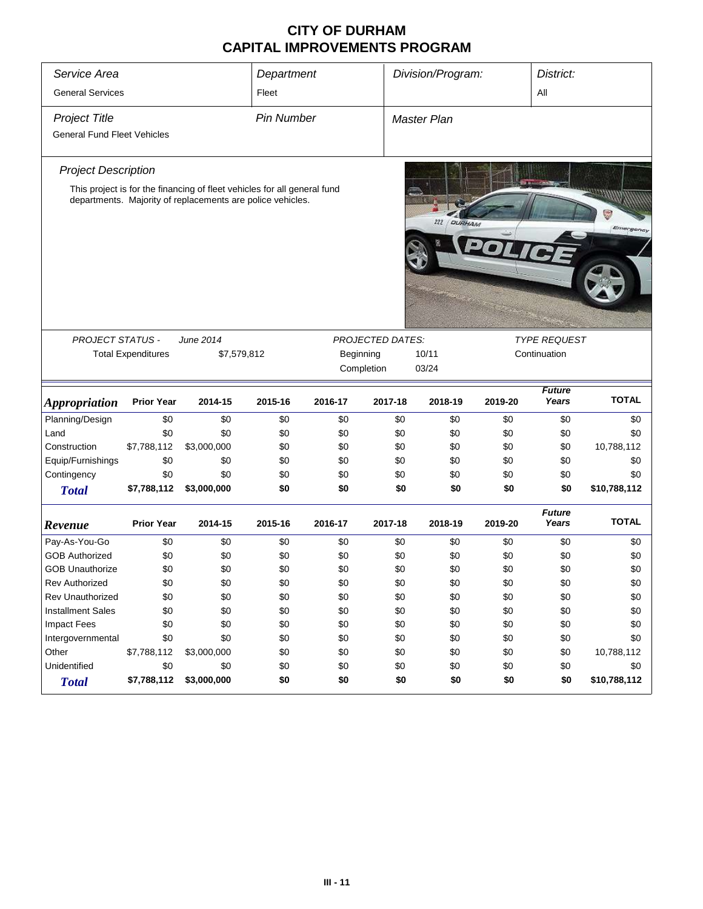| Service Area                                               |                           |                                                                                                                                        | Department        |            |                         | Division/Program:    |            | District:                           |                   |
|------------------------------------------------------------|---------------------------|----------------------------------------------------------------------------------------------------------------------------------------|-------------------|------------|-------------------------|----------------------|------------|-------------------------------------|-------------------|
| <b>General Services</b>                                    |                           |                                                                                                                                        | Fleet             |            |                         |                      |            | All                                 |                   |
| <b>Project Title</b><br><b>General Fund Fleet Vehicles</b> |                           |                                                                                                                                        | <b>Pin Number</b> |            |                         | <b>Master Plan</b>   |            |                                     |                   |
| <b>Project Description</b>                                 |                           |                                                                                                                                        |                   |            |                         |                      |            |                                     |                   |
|                                                            |                           | This project is for the financing of fleet vehicles for all general fund<br>departments. Majority of replacements are police vehicles. |                   |            |                         | 222<br><b>DURHAM</b> |            |                                     | Ç<br>Emergency    |
|                                                            |                           |                                                                                                                                        |                   |            |                         |                      |            |                                     |                   |
| <b>PROJECT STATUS -</b>                                    | <b>Total Expenditures</b> | June 2014<br>\$7,579,812                                                                                                               |                   | Beginning  | <b>PROJECTED DATES:</b> | 10/11                |            | <b>TYPE REQUEST</b><br>Continuation |                   |
|                                                            |                           |                                                                                                                                        |                   |            | Completion              | 03/24                |            |                                     |                   |
|                                                            |                           |                                                                                                                                        |                   |            |                         |                      |            |                                     |                   |
|                                                            | <b>Prior Year</b>         | 2014-15                                                                                                                                | 2015-16           | 2016-17    | 2017-18                 | 2018-19              | 2019-20    | <b>Future</b><br>Years              | <b>TOTAL</b>      |
| <i><b>Appropriation</b></i><br>Planning/Design             | $$0$$                     | \$0                                                                                                                                    | \$0               | \$0        | \$0                     | \$0                  | \$0        | \$0                                 | \$0               |
| Land                                                       | \$0                       | \$0                                                                                                                                    | \$0               | \$0        | \$0                     | \$0                  | \$0        | \$0                                 | \$0               |
| Construction                                               | \$7,788,112               | \$3,000,000                                                                                                                            | \$0               | \$0        | \$0                     | \$0                  | \$0        | \$0                                 | 10,788,112        |
| Equip/Furnishings                                          | \$0                       | \$0                                                                                                                                    | \$0               | \$0        | \$0                     | \$0                  | \$0        | \$0                                 | \$0               |
| Contingency                                                | \$0                       | \$0                                                                                                                                    | \$0               | \$0        | \$0                     | \$0                  | \$0        | \$0                                 | \$0               |
| <b>Total</b>                                               | \$7,788,112               | \$3,000,000                                                                                                                            | \$0               | \$0        | \$0                     | \$0                  | \$0        | \$0                                 | \$10,788,112      |
| Revenue                                                    | <b>Prior Year</b>         | 2014-15                                                                                                                                | 2015-16           | 2016-17    | 2017-18                 | 2018-19              | 2019-20    | <b>Future</b><br>Years              | <b>TOTAL</b>      |
|                                                            | \$0                       | \$0                                                                                                                                    | \$0               | \$0        | \$0                     | \$0                  | \$0        | \$0                                 | \$0               |
| Pay-As-You-Go<br><b>GOB Authorized</b>                     |                           |                                                                                                                                        |                   |            |                         |                      |            |                                     |                   |
|                                                            | \$0<br>\$0                | \$0<br>\$0                                                                                                                             | \$0<br>\$0        | \$0<br>\$0 | \$0<br>\$0              | \$0<br>\$0           | \$0<br>\$0 | \$0<br>\$0                          | \$0               |
| <b>GOB Unauthorize</b>                                     |                           |                                                                                                                                        |                   |            |                         |                      |            |                                     | \$0               |
| Rev Authorized<br>Rev Unauthorized                         | \$0                       | \$0                                                                                                                                    | \$0               | \$0        | \$0                     | \$0                  | \$0        | \$0                                 | \$0               |
|                                                            | \$0                       | \$0                                                                                                                                    | \$0               | \$0        | \$0                     | \$0                  | \$0        | \$0                                 | \$0               |
| <b>Installment Sales</b>                                   | \$0                       | \$0                                                                                                                                    | \$0               | \$0        | \$0                     | \$0                  | \$0        | \$0                                 | \$0               |
| <b>Impact Fees</b>                                         | \$0                       | \$0                                                                                                                                    | \$0               | \$0        | \$0                     | \$0                  | \$0        | \$0                                 | \$0               |
| Intergovernmental                                          | \$0                       | \$0                                                                                                                                    | \$0               | \$0        | \$0                     | \$0                  | \$0        | \$0                                 | \$0               |
| Other<br>Unidentified                                      | \$7,788,112<br>\$0        | \$3,000,000<br>\$0                                                                                                                     | \$0<br>\$0        | \$0<br>\$0 | \$0<br>\$0              | \$0<br>\$0           | \$0<br>\$0 | \$0<br>\$0                          | 10,788,112<br>\$0 |